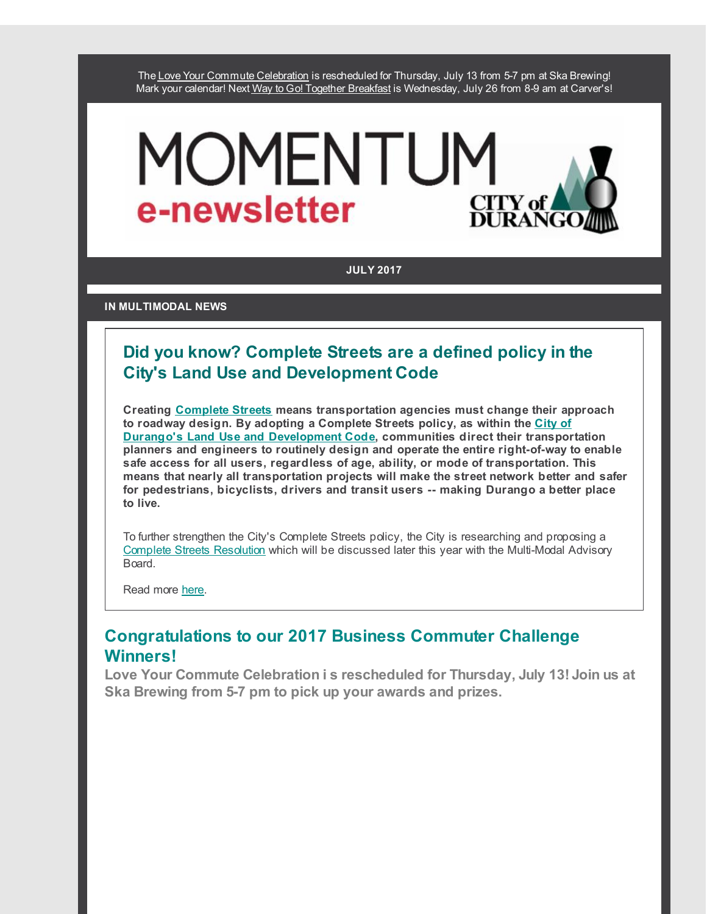The Love Your Commute [Celebration](http://r20.rs6.net/tn.jsp?f=00188PoFOvojaciMsR7aFhzSzAkGTKvLCehvDa36zl6md9DAAeLQAShKi0IN4wrSlzZXXtRdBouKC_8HDbZZDa3neXfzTv8B-3IOxcqx90I0YuJooTsRtiR7AnFhn-FJJa0TQr8dGmCGLS2ilKbiM_OR0BLbVd_qybhQ2VqSLg2RfOZdUu1gxGevdNfqhNYHDfW3vUG8NG29eU=&c=&ch=) is rescheduled for Thursday, July 13 from 5-7 pm at Ska Brewing! Mark your calendar! Next Way to Go! Together [Breakfast](http://r20.rs6.net/tn.jsp?f=00188PoFOvojaciMsR7aFhzSzAkGTKvLCehvDa36zl6md9DAAeLQAShKsNXuLnx7p8pvVopCBtvaF5-s7eY5O9zECkcy_PFKi_35uYENKTwuGknqRj74biaJBw9WSg5-RUDlm_UUzbhiHEX0m79U7LUb_QbpyhTtZu8X9kmEH0qylLiTf9AfH9TujeVxFq3lURxPLiQP5CWuZ4=&c=&ch=) is Wednesday, July 26 from 8-9 am at Carver's!

# MOMENTUM e-newsletter CITY 0

**JULY 2017**

**IN MULTIMODAL NEWS**

# **Did you know? Complete Streets are a defined policy in the City's Land Use and Development Code**

**Creating [Complete](http://r20.rs6.net/tn.jsp?f=00188PoFOvojaciMsR7aFhzSzAkGTKvLCehvDa36zl6md9DAAeLQAShKu0S1ow7KGFfq_t-dE3ono4DzxAiyFLsMI3DKC---82FlpO6bTH7luW1ujqcXo0rT6EevMHNOVK7CMruoefT8oWorKwj3S80rP-DCfiuvMy7CmPLnsCzc143Bj2QHjYw4yCd4XsuOiOd&c=&ch=) Streets means transportation agencies must change their approach to roadway design. By adopting a Complete Streets policy, as within the City of Durango's Land Use and [Development](http://r20.rs6.net/tn.jsp?f=00188PoFOvojaciMsR7aFhzSzAkGTKvLCehvDa36zl6md9DAAeLQAShKiGn4ARaievfIeNpNYxuOhoGmEmy4fSS4BBiiUuoa_-rxpIGRhdhSGbo8akcdClCUi0Iq7deyWRzpnW9_HQiEJL3J8lefRxdhi9AgOAQkrugQsXFxseV0JMUtQliorlhpn8Rdz5re_Nj1hoVue_g7S5mFPsS5NQxpK0sqaKfHR23GMHtxRqwTSnwRNw9rmzzyg==&c=&ch=) Code, communities direct their transportation planners and engineers to routinely design and operate the entire right-of-way to enable safe access for all users, regardless of age, ability, or mode of transportation. This means that nearly all transportation projects will make the street network better and safer for pedestrians, bicyclists, drivers and transit users -- making Durango a better place to live.**

To further strengthen the City's Complete Streets policy, the City is researching and proposing a Complete Streets [Resolution](http://r20.rs6.net/tn.jsp?f=00188PoFOvojaciMsR7aFhzSzAkGTKvLCehvDa36zl6md9DAAeLQAShKhYQGSIky1iy8pSIjlfm8o83Dz6oYFmOOW4Y1TWWmaxwpH8V3I7i2AfQk4j5wZWImHH15ti6hVMBVkPuM1w8lvoaYfPXkCpZqDZR5fwJoXpLskKONtKWAJyaR33Bbfe6S3f4W5mPH8QgLCdPzrFvBRGet2KgiLyWwlIaa9w0A3UOfwJTciy2lQNwMEVYQybJSaIZa51giuFg&c=&ch=) which will be discussed later this year with the Multi-Modal Advisory Board.

Read more [here.](http://r20.rs6.net/tn.jsp?f=00188PoFOvojaciMsR7aFhzSzAkGTKvLCehvDa36zl6md9DAAeLQAShKu0S1ow7KGFfq_t-dE3ono4DzxAiyFLsMI3DKC---82FlpO6bTH7luW1ujqcXo0rT6EevMHNOVK7CMruoefT8oWorKwj3S80rP-DCfiuvMy7CmPLnsCzc143Bj2QHjYw4yCd4XsuOiOd&c=&ch=)

# **Congratulations to our 2017 Business Commuter Challenge Winners!**

**Love Your Commute Celebration i s rescheduled for Thursday, July 13! Join us at Ska Brewing from 5-7 pm to pick up your awards and prizes.**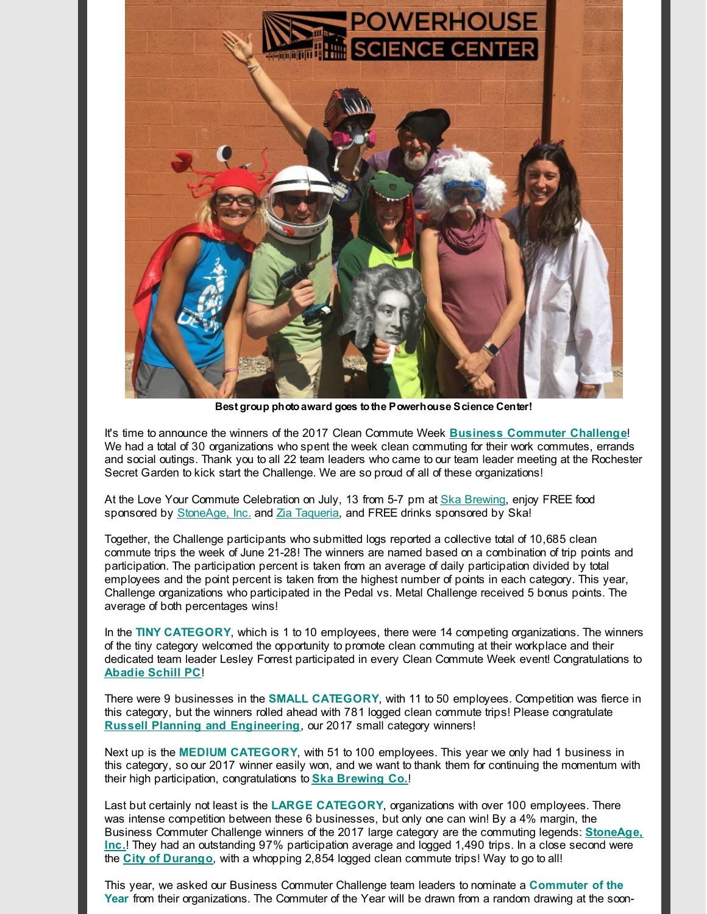

**Best group photoaward goes tothe Powerhouse Science Center!**

It's time to announce the winners of the 2017 Clean Commute Week **Business [Commuter](http://r20.rs6.net/tn.jsp?f=00188PoFOvojaciMsR7aFhzSzAkGTKvLCehvDa36zl6md9DAAeLQAShKiD3cAjYzyJgqa7q-GohURb_CX7iq18Ed2MTULvnBTBa4I4GZvNlrWVJs7zdOOSVqXiScf6wAo_tp65Ht0AGrVYV_Dz3wuvuX7FIUrZTOWyDJNQcZKqH2KZ1CT3YCWPXbKvdGu1MsAXI3zqfrAlDx64=&c=&ch=) Challenge**! We had a total of 30 organizations who spent the week clean commuting for their work commutes, errands and social outings. Thank you to all 22 team leaders who came to our team leader meeting at the Rochester Secret Garden to kick start the Challenge. We are so proud of all of these organizations!

At the Love Your Commute Celebration on July, 13 from 5-7 pm at Ska [Brewing](http://r20.rs6.net/tn.jsp?f=00188PoFOvojaciMsR7aFhzSzAkGTKvLCehvDa36zl6md9DAAeLQAShKslqzvuv4aLJpDAo-qlqDlsboHQGv2AktlsrW-cCjTMIhGb_CIhwkvZZfrd2V1Tn3XH9sMc6JKlZLDEJquZ6qC-XmUuP1I3FjNljg22Qo8Xua2XCqgNePa4=&c=&ch=), enjoy FREE food sponsored by [StoneAge,](http://r20.rs6.net/tn.jsp?f=00188PoFOvojaciMsR7aFhzSzAkGTKvLCehvDa36zl6md9DAAeLQAShKu0S1ow7KGFfoHycOh-s4sSTT75snMGI9AEb1GgrdkIp6AfqhQno6slcpmztb8LWTKTlqc_2-Cw3rA8gLPXVGewYpH6hrFFQAcU3DDhvD3UHnSyZ6BDt8Vk=&c=&ch=) Inc. and Zia [Taqueria](http://r20.rs6.net/tn.jsp?f=00188PoFOvojaciMsR7aFhzSzAkGTKvLCehvDa36zl6md9DAAeLQAShKotg8ySfRh13WsD5RQOP8Y7h2jx0PqS89sqfn_wMIBI9AcZpfXPOQKsDsx5wEZNNx7isgBA5qob4WUBd89poOVERwERAvBQjsIx1JmyNNb5zr_wjMVzPKK1MU4awlPrxdw==&c=&ch=), and FREE drinks sponsored by Ska!

Together, the Challenge participants who submitted logs reported a collective total of 10,685 clean commute trips the week of June 21-28! The winners are named based on a combination of trip points and participation. The participation percent is taken from an average of daily participation divided by total employees and the point percent is taken from the highest number of points in each category. This year, Challenge organizations who participated in the Pedal vs. Metal Challenge received 5 bonus points. The average of both percentages wins!

In the **TINY CATEGORY**, which is 1 to 10 employees, there were 14 competing organizations. The winners of the tiny category welcomed the opportunity to promote clean commuting at their workplace and their dedicated team leader Lesley Forrest participated in every Clean Commute Week event! Congratulations to **[Abadie](http://r20.rs6.net/tn.jsp?f=00188PoFOvojaciMsR7aFhzSzAkGTKvLCehvDa36zl6md9DAAeLQAShKuct52n_sP8DLPCJeozpIyN0rK-eDX7qySA4X9wTiXZMDsYOWeBqPgfyYs7Oe643ov-93F5mdC0P_ziS-JnGKBi1rzDcAgxwUFwp3cglf5jhj019gi3x9Yo-qQQ4l9k3CQ==&c=&ch=) Schill PC**!

There were 9 businesses in the **SMALL CATEGORY**, with 11 to 50 employees. Competition was fierce in this category, but the winners rolled ahead with 781 logged clean commute trips! Please congratulate **Russell Planning and [Engineering](http://r20.rs6.net/tn.jsp?f=00188PoFOvojaciMsR7aFhzSzAkGTKvLCehvDa36zl6md9DAAeLQAShKuct52n_sP8DSQ8opJflisN8S_42FFMl3XC-r1fHChlzVG2M9rKFipa0nlEIBsfjjrFyPpvxflts7HD2BQ7vwmmgEQysP_EFvSlOB4WlN0HEHvYiLZx0ypmnTKOvLbvNfQ==&c=&ch=)**, our 2017 small category winners!

Next up is the **MEDIUM CATEGORY**, with 51 to 100 employees. This year we only had 1 business in this category, so our 2017 winner easily won, and we want to thank them for continuing the momentum with their high participation, congratulations to **Ska [Brewing](http://r20.rs6.net/tn.jsp?f=00188PoFOvojaciMsR7aFhzSzAkGTKvLCehvDa36zl6md9DAAeLQAShKslqzvuv4aLJpDAo-qlqDlsboHQGv2AktlsrW-cCjTMIhGb_CIhwkvZZfrd2V1Tn3XH9sMc6JKlZLDEJquZ6qC-XmUuP1I3FjNljg22Qo8Xua2XCqgNePa4=&c=&ch=) Co.**!

Last but certainly not least is the **LARGE CATEGORY**, organizations with over 100 employees. There was intense competition between these 6 businesses, but only one can win! By a 4% margin, the Business Commuter Challenge winners of the 2017 large category are the commuting legends: **StoneAge, Inc.**! They had an outstanding 97% [participation](http://r20.rs6.net/tn.jsp?f=00188PoFOvojaciMsR7aFhzSzAkGTKvLCehvDa36zl6md9DAAeLQAShKu0S1ow7KGFfoHycOh-s4sSTT75snMGI9AEb1GgrdkIp6AfqhQno6slcpmztb8LWTKTlqc_2-Cw3rA8gLPXVGewYpH6hrFFQAcU3DDhvD3UHnSyZ6BDt8Vk=&c=&ch=) average and logged 1,490 trips. In a close second were the **City of [Durango](http://r20.rs6.net/tn.jsp?f=00188PoFOvojaciMsR7aFhzSzAkGTKvLCehvDa36zl6md9DAAeLQAShKkOxLTeRvOuFCRxrcf7ajpXWJMFmBUqMesSFIbLi7fqqUBlV5of3c9D_QQuYGrYIfojW2gaED9dNETvEVMf1yAzIRFnV_-jv7x7_DpLLfFSOXiSZVdw55hW4W0imUBKQtg==&c=&ch=)**, with a whopping 2,854 logged clean commute trips! Way to go to all!

This year, we asked our Business Commuter Challenge team leaders to nominate a **Commuter of the Year** from their organizations. The Commuter of the Year will be drawn from a random drawing at the soon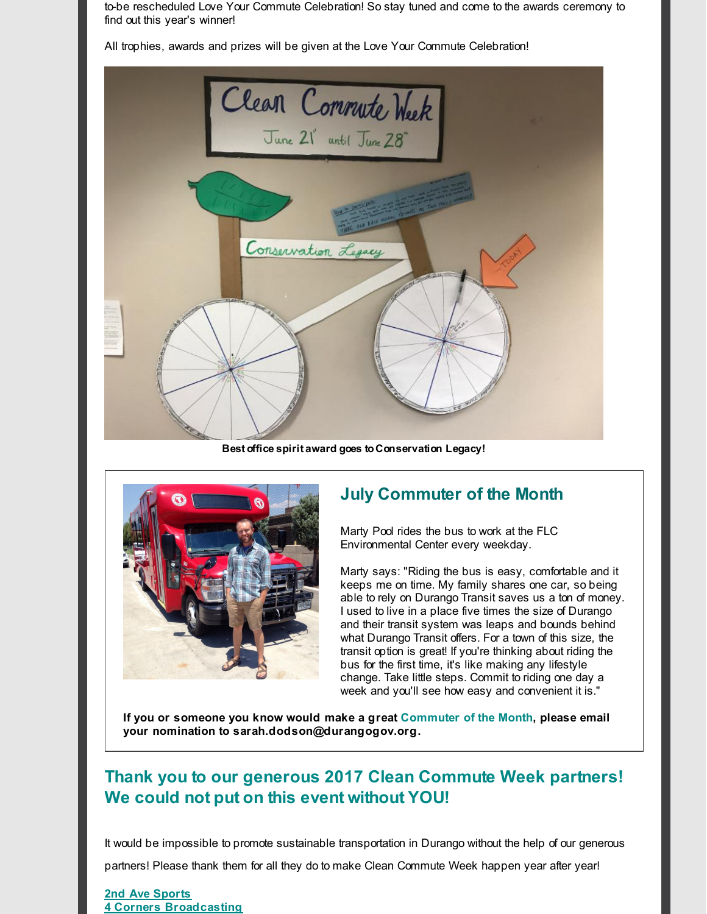to-be rescheduled Love Your Commute Celebration! So stay tuned and come to the awards ceremony to find out this year's winner!

All trophies, awards and prizes will be given at the Love Your Commute Celebration!



**Best office spirit award goes to Conservation Legacy!**



# **July Commuter of the Month**

Marty Pool rides the bus to work at the FLC Environmental Center every weekday.

Marty says: "Riding the bus is easy, comfortable and it keeps me on time. My family shares one car, so being able to rely on Durango Transit saves us a ton of money. I used to live in a place five times the size of Durango and their transit system was leaps and bounds behind what Durango Transit offers. For a town of this size, the transit option is great! If you're thinking about riding the bus for the first time, it's like making any lifestyle change. Take little steps. Commit to riding one day a week and you'll see how easy and convenient it is."

**If you or someone you know would make a great Commuter of the Month, please email your nomination to sarah.dodson@durangogov.org.**

# **Thank you to our generous 2017 Clean Commute Week partners! We could not put on this event without YOU!**

It would be impossible to promote sustainable transportation in Durango without the help of our generous

partners! Please thank them for all they do to make Clean Commute Week happen year after year!

**2nd Ave [Sports](http://r20.rs6.net/tn.jsp?f=00188PoFOvojaciMsR7aFhzSzAkGTKvLCehvDa36zl6md9DAAeLQAShKhQ0OegNeXUnExtlK3pgw-O8-gXyQRLT7RLIs7ZVAMsIri3vs47-QlPQ-B4Q3KgD8zH6JeVMvX9wtqkxvN-6G680MYY3PUBUIojgt0bc9zBQhtp3guTRvjE=&c=&ch=) 4 Corners [Broadcasting](http://r20.rs6.net/tn.jsp?f=00188PoFOvojaciMsR7aFhzSzAkGTKvLCehvDa36zl6md9DAAeLQAShKue5GOagvz_Yp8e2k3SdaZs07xkaTlSb9MNpk6lBEmSXDCy3CWk4uH7F_jiZbR-4UEpISqyNzOJuVMP-9W7Vx2QB6wtFUqLmyqgsCIsR9s3NMU687uPB97mIOJ2QTSaxkQ==&c=&ch=)**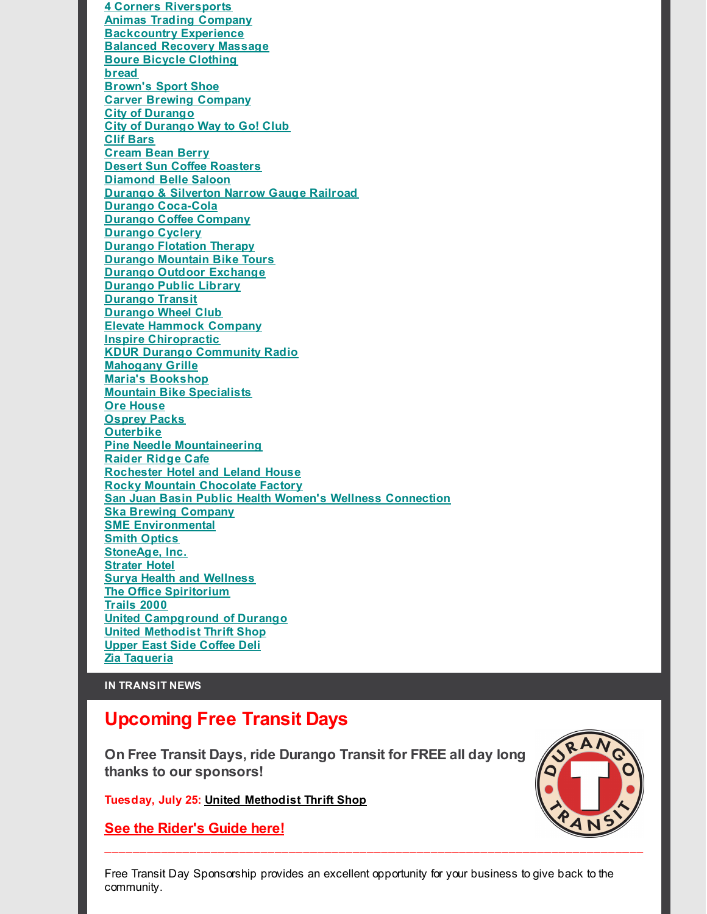**4 Corners [Riversports](http://r20.rs6.net/tn.jsp?f=00188PoFOvojaciMsR7aFhzSzAkGTKvLCehvDa36zl6md9DAAeLQAShKue5GOagvz_YrhypitlCGH1j49WRWvdvq1y9sDwoS3Q6v9bHcf0WHd6ZPrr7HR_o_2suLSb_2aAHOSVyz7iYsZ88M8SF1gxcBVhD4DccX8AzbxD4DmsXO5Bw4YpJaQD9-A==&c=&ch=) Animas Trading [Company](http://r20.rs6.net/tn.jsp?f=00188PoFOvojaciMsR7aFhzSzAkGTKvLCehvDa36zl6md9DAAeLQAShKhYoYiuH37GQ9FFKQsqt93AxXZ00tttSqVZ9X9kpn4aTOf8BrS8uPF1rBpNlgHdXpLbBKxeUJOWOVCr05ODfN2GdnTfJiSyXFE79v0TetliLdzBgfMcq3laHNAjpSl0KJw==&c=&ch=) [Backcountry](http://r20.rs6.net/tn.jsp?f=00188PoFOvojaciMsR7aFhzSzAkGTKvLCehvDa36zl6md9DAAeLQAShKslqzvuv4aLJiQ3prwiW8uwZ05cr1a5zD6U4ThVFyuPMG-l7PvRnZ0gFdmtKHosnq3wOh0xxy5J5eU9hnjoHAHNMU-Z2GQvQMkKf7W7cJYjeARJ_vIG4Cnc=&c=&ch=) Experience Balanced [Recovery](http://r20.rs6.net/tn.jsp?f=00188PoFOvojaciMsR7aFhzSzAkGTKvLCehvDa36zl6md9DAAeLQAShKvNqo31_nWFfzFFbdN18ifix1eqwJsC57oTQOi6825dTw2rwECMt_nifbtVOJXwqAQGvfhkuLG1ws6ok7pgkm36hS71IHSgBC-osozbPhGnBzHK-647TZqfPNEK9S1LHDA==&c=&ch=) Massage Boure Bicycle [Clothing](http://r20.rs6.net/tn.jsp?f=00188PoFOvojaciMsR7aFhzSzAkGTKvLCehvDa36zl6md9DAAeLQAShKvNqo31_nWFfoAdvkX_hr50EXf-QlNrkoOCj6_oadqbmO-8uWf_3Aii5EM5IeJHqLbnJatlLfUSnnGWWQ7GuDeZqpgsUrd2HAOpK-stPBS2tgRuRkCRq6nc=&c=&ch=) [bread](http://r20.rs6.net/tn.jsp?f=00188PoFOvojaciMsR7aFhzSzAkGTKvLCehvDa36zl6md9DAAeLQAShKue5GOagvz_YJ-si3wzwiR9WyULwSLUUEbr1T8b5vARptjq3z1FyefbAOdZCdd-iQts7V4ZfzmPDxnN1Fg_qeeHV8okS_7USO5htQtdQFonf1J8CeL6GcRs=&c=&ch=) [Brown's](http://r20.rs6.net/tn.jsp?f=00188PoFOvojaciMsR7aFhzSzAkGTKvLCehvDa36zl6md9DAAeLQAShKiC7dZRixd9pGLH6MRx08rvp0XRsk64fwg6BxsHqCYY9TVLMB-1cM6VVzT95i67QgftEa15eGPEcx90-0WJbqze4hT_PR2MlXFCfcmh66mZa1yFampwWJsqZfnjdH_5u6HvZWZoMunfk5W5f1KyDGPYXkk8kadURwA==&c=&ch=) Sport Shoe Carver Brewing [Company](http://r20.rs6.net/tn.jsp?f=00188PoFOvojaciMsR7aFhzSzAkGTKvLCehvDa36zl6md9DAAeLQAShKggTlqdaVOCNYhJXX__ID9mEa-6PezN4OcUhsJJXYwOpKnPVfFnAKtxmoXs3X5zV2pTyJiHLbo_9c53I24O51eu_uAtugNAFMiCS8qbkzP9B59DrMxQ4-eA=&c=&ch=) City of [Durango](http://r20.rs6.net/tn.jsp?f=00188PoFOvojaciMsR7aFhzSzAkGTKvLCehvDa36zl6md9DAAeLQAShKkOxLTeRvOuFCRxrcf7ajpXWJMFmBUqMesSFIbLi7fqqUBlV5of3c9D_QQuYGrYIfojW2gaED9dNETvEVMf1yAzIRFnV_-jv7x7_DpLLfFSOXiSZVdw55hW4W0imUBKQtg==&c=&ch=) City of [Durango](http://r20.rs6.net/tn.jsp?f=00188PoFOvojaciMsR7aFhzSzAkGTKvLCehvDa36zl6md9DAAeLQAShKuct52n_sP8DddZFyuhhRBxNj16RAL4BPJe6bOLorU-GrNug1O5bY1C6HVguE6UfbEK6_5hR3mRu6oqxJ8D0QyIABW6KH69F2x5_2ny_57hv3j3211Qa1Lun2MrIaZKTh5O4dUd3fzFn&c=&ch=) Way to Go! Club Clif [Bars](http://r20.rs6.net/tn.jsp?f=00188PoFOvojaciMsR7aFhzSzAkGTKvLCehvDa36zl6md9DAAeLQAShKrZ1KNJIWMeqIqGk9vIpg7kHjMLPRFLXiXPHg5VB30w5-JrcPiE0Qs2Y4280_XUj6rkiJ6JAuNmkUMdXTwG9JxBVZ_iHW9DGacUY0qmuzpYebCgn5b91woc=&c=&ch=) [Cream](http://r20.rs6.net/tn.jsp?f=00188PoFOvojaciMsR7aFhzSzAkGTKvLCehvDa36zl6md9DAAeLQAShKvNqo31_nWFflPHS7UxHhBF2s_MZODuoXKxBkFIhfsrmdGEoZjMyxtbWsj315og3Ym1ANr3P0Y4qzCrcTrID2dRZZ_qQSQp0gpTDXs-UAeQVM227sfhldrjvl4XC3zf1nQ==&c=&ch=) Bean Berry Desert Sun Coffee [Roasters](http://r20.rs6.net/tn.jsp?f=00188PoFOvojaciMsR7aFhzSzAkGTKvLCehvDa36zl6md9DAAeLQAShKvNqo31_nWFfwm_80CWo7S9vQeNJn8mAItWHJHdFXvZ_T4c6tj2zBs68FKtvJG8k9MkVh2AmPRaUJVB--7WLs3FiepMEmsPvVOGZn6BPYdPuiMaEC5Djgi3qrhw_InOILQ==&c=&ch=) [Diamond](http://r20.rs6.net/tn.jsp?f=00188PoFOvojaciMsR7aFhzSzAkGTKvLCehvDa36zl6md9DAAeLQAShKvNqo31_nWFfJW697UD9Hk8Ht7cgSHmn7sRqrauz_UvyU8CjAuPGmUiunST66_cPREqaptjA2twYCBO6lOSE6oCyNSLLVY9MacEZTuH9wOkODkiUD62sT8JjSnBTSWGDPw==&c=&ch=) Belle Saloon Durango & [Silverton](http://r20.rs6.net/tn.jsp?f=00188PoFOvojaciMsR7aFhzSzAkGTKvLCehvDa36zl6md9DAAeLQAShKgZDL5TrQmcrdOMQvQ3I1HeDaQ3Oq5xRBn5__20DgtWGY1OtBeo7PTOEM-my9lcfVHVr2BYhSll-4OzuxRGeSLYLjoZi-B0-Qgz_KVJS0boEYh072Ee7n4cQ5oFsFeUBPQ==&c=&ch=) Narrow Gauge Railroad Durango [Coca-Cola](http://r20.rs6.net/tn.jsp?f=00188PoFOvojaciMsR7aFhzSzAkGTKvLCehvDa36zl6md9DAAeLQAShKuct52n_sP8DSGEO3OAxL4Jpl5hVVLUWAv5b9OxiutdMby8H_XqtiFnrZct4Scy1-5hWHFG6YRN9Q4QfbOqrX2XqlRQOC0059wZPvTKeO507uwhtD1oulZr27thDbZupCg==&c=&ch=) Durango Coffee [Company](http://r20.rs6.net/tn.jsp?f=00188PoFOvojaciMsR7aFhzSzAkGTKvLCehvDa36zl6md9DAAeLQAShKvNqo31_nWFf9aWrmSd_Y23NKYscbtpTKiBdl8QUnrhmOe6nvrpOvFLohLC3aqPjBJzSGfyBrZRj4t-wLLCcgajdJ9LVWj4IxW5Lpf4mTUUQhgf0GcJX7DUQwR27saU7qg==&c=&ch=) [Durango](http://r20.rs6.net/tn.jsp?f=00188PoFOvojaciMsR7aFhzSzAkGTKvLCehvDa36zl6md9DAAeLQAShKvNqo31_nWFfFPkZUB7IQAMkECt1a2dO35aCaLL5U9lSzUQX-QSRlbFxM-l_TuRBb2NinaPbE9dzS1L5vEUWr3nU_AfYqlenmds7ZFnQDqcwZ863T7DgbhsAXpvEEy-oDw==&c=&ch=) Cyclery [Durango](http://r20.rs6.net/tn.jsp?f=00188PoFOvojaciMsR7aFhzSzAkGTKvLCehvDa36zl6md9DAAeLQAShKuct52n_sP8D8Lyo6EeuIDBXIZMwrIrBctNhttdi4srjELYZZRLcgNMonbH4w8OjTEjc7xIT1fds7y8zGeVx-acQoDJgwpQ_BjG4TPlwvIBXrkVpNQA737A=&c=&ch=) Flotation Therapy Durango [Mountain](http://r20.rs6.net/tn.jsp?f=00188PoFOvojaciMsR7aFhzSzAkGTKvLCehvDa36zl6md9DAAeLQAShKue5GOagvz_Y1o42OV1R_0iUtIzC_USSF2OOZIZksbPv8XkZhX9QpAlliK45XMbkxWPq1XlxLasimXeqcrrrucKWWnAUH0PhibRqVv2lUfQDpEw1qwkpHmw23gRU9Lu61A==&c=&ch=) Bike Tours Durango Outdoor [Exchange](http://r20.rs6.net/tn.jsp?f=00188PoFOvojaciMsR7aFhzSzAkGTKvLCehvDa36zl6md9DAAeLQAShKvNqo31_nWFfjcHqmQ-u6fvs0QAE-amZ-8NppwQn9lWOo-901xWNlzbVIJ6lbZMACfejfIvqoPsN4paT6WduqWcMGoUuucQ3cZxpqYySP2CoCqxftsFxvL02x-gAJgyAhpIi5fiZ5xLS&c=&ch=) [Durango](http://r20.rs6.net/tn.jsp?f=00188PoFOvojaciMsR7aFhzSzAkGTKvLCehvDa36zl6md9DAAeLQAShKuct52n_sP8D99xf0lxn9Auj4dd1pGTBTaeq2Lxgk_d3yie0KtNmZaKGUZD4PUx7x2bgOGxRhC0kkRWItFNhrGUNnxoaKQXMrD9f2Ei3nRRAK15McYV74IBUDihhO7wZUimyOphy-9p3&c=&ch=) Public Library [Durango](http://r20.rs6.net/tn.jsp?f=00188PoFOvojaciMsR7aFhzSzAkGTKvLCehvDa36zl6md9DAAeLQAShKs4YmvDc_Bb8mvBsD0PJ_4GDDpm4joVY7tEoKdEThOphBp2gbuRv0it37sw5L8B1qWFm2MOV3wuAMg7zwEtcgoDOo_oAvXCojH0ZJadaBcOJm_NTmgd-_drtyQnLP1Tzo1a1zARBpId8u_pEdNELPyM=&c=&ch=) Transit [Durango](http://r20.rs6.net/tn.jsp?f=00188PoFOvojaciMsR7aFhzSzAkGTKvLCehvDa36zl6md9DAAeLQAShKvNqo31_nWFfQdn9eV0gALNqZVlGXBQmGJcz4y1AkilULIC8R56_T2RASZIS6udx8gVYyevowC4HBGaKzvvZPLNXJUMRRB5isrgxXOyvQqZmdYZCW3tj69EajmLNmkPnNg==&c=&ch=) Wheel Club Elevate [Hammock](http://r20.rs6.net/tn.jsp?f=00188PoFOvojaciMsR7aFhzSzAkGTKvLCehvDa36zl6md9DAAeLQAShKlsyUwPVr8G69MMEp7xz7Arbz1oNZTRyJ-Aj-gbSQjV3GwDb_VEBOY6wUIWTCNjOPuZIVzv_osVFCCGOYkA6PXzXb1KrGB_22fxlzZI2alXnzvvqeJmOIXaHHMw10-mpLfGzd1Wabwb4&c=&ch=) Company Inspire [Chiropractic](http://r20.rs6.net/tn.jsp?f=00188PoFOvojaciMsR7aFhzSzAkGTKvLCehvDa36zl6md9DAAeLQAShKvNqo31_nWFfLzlYpDbRLdGPCw3kVeoxQqAZgU575FSQ4wZOYQMxY0YgZGhRs36zE41hL8X5IHwgCp92RkGwHUX133B-LwXUfGrj5H5ulnxgrN91wlpX2gU6_SJnxncL8Q==&c=&ch=) KDUR Durango [Community](http://r20.rs6.net/tn.jsp?f=00188PoFOvojaciMsR7aFhzSzAkGTKvLCehvDa36zl6md9DAAeLQAShKuct52n_sP8Ddo9ZxjaMTc02JxkGS_j9Ym65Id7Za_evDz8yPRM2CCU3Ba5hd3N-IdyCI4OW1G5mEnpN9GLEDaQtdSyz8chBSzj5Byl-ch8h5VyVdfUMtEM=&c=&ch=) Radio [Mahogany](http://r20.rs6.net/tn.jsp?f=00188PoFOvojaciMsR7aFhzSzAkGTKvLCehvDa36zl6md9DAAeLQAShKvNqo31_nWFfBwROCi6IXegFtQ4f0YAAoxgiqFOAXznkUTd03NsK-3N47GJFXTR_iKTqtIpxTisFlZ0y6z22x1wTNmtWn8dKrFsJelj5Im-_E6xQq-lQsYcOX4CLFg2VhQ==&c=&ch=) Grille Maria's [Bookshop](http://r20.rs6.net/tn.jsp?f=00188PoFOvojaciMsR7aFhzSzAkGTKvLCehvDa36zl6md9DAAeLQAShKue5GOagvz_YeHWS-ayE9nFM8lVm7XJHPo1mC-fPdypKzc0e4bs016trLPRdNYUrmQjVkVtZR56Km18Fxc6tKor50e5IPO2e9lF-kpyK4BW-JTvT5FojL2ZoHjsntW2xyQ==&c=&ch=) Mountain Bike [Specialists](http://r20.rs6.net/tn.jsp?f=00188PoFOvojaciMsR7aFhzSzAkGTKvLCehvDa36zl6md9DAAeLQAShKtbdxRzhe2CCjWOoaPra6546P8CzVsSny1aWjod5GjQaiW9z_b9a7iYBBWvmgzpjpZmewXaIx6NcHBCxGjMAk48Hm4glmdcO5H8mI_izm-JhqA1ITyAAOZZwnHygWtihPfY-m7gLmVfg&c=&ch=) Ore [House](http://r20.rs6.net/tn.jsp?f=00188PoFOvojaciMsR7aFhzSzAkGTKvLCehvDa36zl6md9DAAeLQAShKvNqo31_nWFfAd778SEHOmr-JWU2KSBov-2cShW429nmFenNIHY7nJvW8RDhbH8_rgC8JDDfxWZJCvcY4zS5FRrgx9P64KuVRg74eSockl8-FRZSfc2azbNC9OVD4zARwNVKU9EwJYu2&c=&ch=) [Osprey](http://r20.rs6.net/tn.jsp?f=00188PoFOvojaciMsR7aFhzSzAkGTKvLCehvDa36zl6md9DAAeLQAShKgpMw0ipUCKgMaZz9b7gY2MiCySNGsBwaPCLiBjBOi-1DJ0OgDM98Y6fI5s_VOW7Keg2YtaLPoilFAeqeZD8P4GSemrUmKGggAaL6-VscpY2LJ2umtcUCoHqF5AVnHPiDppgUpk5AbwE&c=&ch=) Packs [Outerbike](http://r20.rs6.net/tn.jsp?f=00188PoFOvojaciMsR7aFhzSzAkGTKvLCehvDa36zl6md9DAAeLQAShKvNqo31_nWFfb8yEL5orLyK1b12vH7uWq5obBHefy4heVnX4kNsGEYr7FSIPiYFyT26pIZBHyozUo3Tx5VTVF1njL29WPEDCde_UlcUzHtXKC4kc9X3qmQLqT4XUgvdnAAuxjFL69mZz&c=&ch=) Pine Needle [Mountaineering](http://r20.rs6.net/tn.jsp?f=00188PoFOvojaciMsR7aFhzSzAkGTKvLCehvDa36zl6md9DAAeLQAShKuct52n_sP8DjSc4P3nZy2VyXaw0jQVjK-ZWVWlC_KwsVPeWDLUWkxqgLrEnGJBhuYb1nNf-JSgI1WRpv5hLOtdD5MaEJemS5a3SQq-ao5JVlhV1OGilFsdNBpa8Qj0uFA==&c=&ch=) [Raider](http://r20.rs6.net/tn.jsp?f=00188PoFOvojaciMsR7aFhzSzAkGTKvLCehvDa36zl6md9DAAeLQAShKuct52n_sP8DLyPGboujtN7Gc9VYe4X6jImpjeTvutvvD6YmE0ji87cJmSAwq_RqTyvv2yhWR6EuLD30N7OZ8qEpUdMhO2FVhyxtY330riAofsleHmmbIWvDeshDZIJRzO34jtB7Dvkr&c=&ch=) Ridge Cafe [Rochester](http://r20.rs6.net/tn.jsp?f=00188PoFOvojaciMsR7aFhzSzAkGTKvLCehvDa36zl6md9DAAeLQAShKvNqo31_nWFfGPymojkJ4njoImN1OWYs7HahLRwIHP0B5gwtWaacBHyhdsVv7SC9RamzDjTcZjoXEL40Di1Q2X7nfZ7CBqtEM3IK7tZvTTYCUrKX5Qaq1d-EZIze0miJzA==&c=&ch=) Hotel and Leland House Rocky Mountain [Chocolate](http://r20.rs6.net/tn.jsp?f=00188PoFOvojaciMsR7aFhzSzAkGTKvLCehvDa36zl6md9DAAeLQAShKvNqo31_nWFf_iHvBACwhAjgJi6OBh2tOi9bKzBOLjURApLwyX2Urs7MqwKDSnoulhNfDwqoyhji_KnmWTsKO1lZMqVjETdxH_ZeeCU70P1GNoLyhs-6gyk=&c=&ch=) Factory San Juan Basin Public Health Women's Wellness [Connection](http://r20.rs6.net/tn.jsp?f=00188PoFOvojaciMsR7aFhzSzAkGTKvLCehvDa36zl6md9DAAeLQAShKu0S1ow7KGFffjMXjbjcQaUXQUcQissXN9ObU-L_8KpJX2_WOx12X8eGdFAaTzp6SFm38STK2em_YcBumrap4RqLXzWkoiyxmfBQav4lD3pvnUnh4IC7WOIaDrcJEf1laPAqoXT3rcEUCaiGy4bUjcOp914-bapt6BV_cW686CuJ8kHkRrf6ogOTa5-sFyYdq9oopJV_nzCKoZGnvaM3HUO3OsJlAp4Xdw==&c=&ch=) Ska Brewing [Company](http://r20.rs6.net/tn.jsp?f=00188PoFOvojaciMsR7aFhzSzAkGTKvLCehvDa36zl6md9DAAeLQAShKslqzvuv4aLJpDAo-qlqDlsboHQGv2AktlsrW-cCjTMIhGb_CIhwkvZZfrd2V1Tn3XH9sMc6JKlZLDEJquZ6qC-XmUuP1I3FjNljg22Qo8Xua2XCqgNePa4=&c=&ch=) SME [Environmental](http://r20.rs6.net/tn.jsp?f=00188PoFOvojaciMsR7aFhzSzAkGTKvLCehvDa36zl6md9DAAeLQAShKuct52n_sP8Da-KHFhJkikW9DbWr_xbTtDXkfPXxJTPU9yGn-UKdntQ5qso6PiBJGcHzoRO5RtYxbjgpBihxLX3R5xXO21paF1qNPsohPD1ohaAUrTAU3PGt35zjkUo27g==&c=&ch=) Smith [Optics](http://r20.rs6.net/tn.jsp?f=00188PoFOvojaciMsR7aFhzSzAkGTKvLCehvDa36zl6md9DAAeLQAShKlsyUwPVr8G6LvOjStfjfWXgQbsQDD_LC-gJ4TNNcnvSTrpLX9S1fyoCfiSgoy_89u-qnYoPxc5Dz7eRWCE8tVTqS9pElDF6ScrVu2AzxUmyPsix_MDL8LshTv1nlpxXXg==&c=&ch=) [StoneAge,](http://r20.rs6.net/tn.jsp?f=00188PoFOvojaciMsR7aFhzSzAkGTKvLCehvDa36zl6md9DAAeLQAShKue5GOagvz_YIDRyGdKsROOe_MfqU9AtvIl7l793vSJM4fAj7XJZnCOztB4kyJHDfykRCdkL67FFki5LDuJ7SaktbA3DnFJEAixBUgC3FJE-9Qo5riy3UB96MnIaHvnGDw==&c=&ch=) Inc. [Strater](http://r20.rs6.net/tn.jsp?f=00188PoFOvojaciMsR7aFhzSzAkGTKvLCehvDa36zl6md9DAAeLQAShKvNqo31_nWFf68sZ4PvqvrGg95IMDuyfWlmxmVM8NyTXnANNmGlrcWNOHHyn9ENPSyMEI7TP9U19LREGeKsgXYZHn8tW6x-FAn8GoCcAv-05rWa0HW1IWK0=&c=&ch=) Hotel Surya Health and [Wellness](http://r20.rs6.net/tn.jsp?f=00188PoFOvojaciMsR7aFhzSzAkGTKvLCehvDa36zl6md9DAAeLQAShKvNqo31_nWFfH52w_R1sOHH5CpyabRNnaomIFi9fImQNTH61ePld10ZAS__B-snPczEt2O6v_yk1YMYz49Y1cdxblYWWQcXgxxxAneRUtjxoAmnwFGjrYig_jDZD-xf3Dw==&c=&ch=) The Office [Spiritorium](http://r20.rs6.net/tn.jsp?f=00188PoFOvojaciMsR7aFhzSzAkGTKvLCehvDa36zl6md9DAAeLQAShKvNqo31_nWFf68sZ4PvqvrGg95IMDuyfWlmxmVM8NyTXnANNmGlrcWNOHHyn9ENPSyMEI7TP9U19LREGeKsgXYZHn8tW6x-FAn8GoCcAv-05rWa0HW1IWK0=&c=&ch=) [Trails](http://r20.rs6.net/tn.jsp?f=00188PoFOvojaciMsR7aFhzSzAkGTKvLCehvDa36zl6md9DAAeLQAShKuct52n_sP8D6nq6EjUTVKnaer97Fwe8sc9gISXjxHDQheV34zQ0GaOTGL2w3q4QMqlChDSC6y0fBvDeeev1a59sbKGHtAJqgg9URSj-0kj7giW9es-HRN4=&c=&ch=) 2000 United [Campground](http://r20.rs6.net/tn.jsp?f=00188PoFOvojaciMsR7aFhzSzAkGTKvLCehvDa36zl6md9DAAeLQAShKvNqo31_nWFf4gQy8R20CRejK1n9R6b5slO08UFx2qr82wmIPQ4moXEPz1_502ujaw-g-jfeCJZdcNwy-dTgS_JwPlTvQMAentG9PMA6U1WHQhwkgM67u9gHX5FmJcpUwyBf-49AFAzi&c=&ch=) of Durango United [Methodist](http://r20.rs6.net/tn.jsp?f=00188PoFOvojaciMsR7aFhzSzAkGTKvLCehvDa36zl6md9DAAeLQAShKuct52n_sP8DHGfHI-mQQgGEPGAl4INS4SEp1FyIoyZizLFCDApkViqw1-0qH-EfaUGnFEqa6vG0MZAHw8PYVnu9jYuFRzAwFacONt38O5vWPcm4jXKY5hSuX-I0KFCtg11dBU5PZd3yJwW0ClmWaJpBVhjvZ1kDm8Gegq0rbty5IKBbLBL3Hnc=&c=&ch=) Thrift Shop Upper East Side [Coffee](http://r20.rs6.net/tn.jsp?f=00188PoFOvojaciMsR7aFhzSzAkGTKvLCehvDa36zl6md9DAAeLQAShKvNqo31_nWFfCIA0vbPZuA5C-U4TLWec_9G8M09V6nmzscLSeLJz9AElEjWy8_WumW2stvp592ABDaV2ug2aZ5hUpuRejs6ajFWd1hnRWUkpEEsZ-ZZ04oEDIxDGUS8blG59PaaWFcwbYdWjX_bg_g00chUhDYL7yeWsjwc6AD3ziiU3iinru6aXEq1qCyNa2ERyX1miPbR-V6UXXTlSjDg=&c=&ch=) Deli Zia [Taqueria](http://r20.rs6.net/tn.jsp?f=00188PoFOvojaciMsR7aFhzSzAkGTKvLCehvDa36zl6md9DAAeLQAShKvNqo31_nWFf69xw1HQo2l73CrK-e6412lm8rFJCefqPqGa8nWmbUn1iyYatLm2SgEtvz85VRYB4X9Bin9hRN2LzWQMK-pEnbq3f46TxBlmvgfO1UFdd9FQ=&c=&ch=)**

### **IN TRANSIT NEWS**

## **Upcoming Free Transit Days**

**On Free Transit Days, ride Durango Transit for FREE all day long thanks to our sponsors!**

**Tuesday, July 25: United [Methodist](http://r20.rs6.net/tn.jsp?f=00188PoFOvojaciMsR7aFhzSzAkGTKvLCehvDa36zl6md9DAAeLQAShKuct52n_sP8DHGfHI-mQQgGEPGAl4INS4SEp1FyIoyZizLFCDApkViqw1-0qH-EfaUGnFEqa6vG0MZAHw8PYVnu9jYuFRzAwFacONt38O5vWPcm4jXKY5hSuX-I0KFCtg11dBU5PZd3yJwW0ClmWaJpBVhjvZ1kDm8Gegq0rbty5IKBbLBL3Hnc=&c=&ch=) Thrift Shop**

**See the [Rider's](http://r20.rs6.net/tn.jsp?f=00188PoFOvojaciMsR7aFhzSzAkGTKvLCehvDa36zl6md9DAAeLQAShKrV3AtDpysiRlkJsuvkMDK8CjFGB1wMUChXTv-INLYhIHwTd1fpwwUYKdrtzQc6yIlNw_Kkh6FsONSojj87MoAHxyT9k2Bs40KZOqDmCSV7sSXBa1-_5RItU0AhwVnpdGaQmU3QB8mvnlLtXE2p2BCRf7Rl28Mm_yhRedjkgkI7BCHibh3FBBZsZAF_cXnHjbGUYe2wgH6uj&c=&ch=) Guide here!**

Free Transit Day Sponsorship provides an excellent opportunity for your business to give back to the community.

 $\_$  ,  $\_$  ,  $\_$  ,  $\_$  ,  $\_$  ,  $\_$  ,  $\_$  ,  $\_$  ,  $\_$  ,  $\_$  ,  $\_$  ,  $\_$  ,  $\_$  ,  $\_$  ,  $\_$  ,  $\_$  ,  $\_$  ,  $\_$  ,  $\_$  ,  $\_$  ,  $\_$  ,  $\_$  ,  $\_$  ,  $\_$  ,  $\_$  ,  $\_$  ,  $\_$  ,  $\_$  ,  $\_$  ,  $\_$  ,  $\_$  ,  $\_$  ,  $\_$  ,  $\_$  ,  $\_$  ,  $\_$  ,  $\_$  ,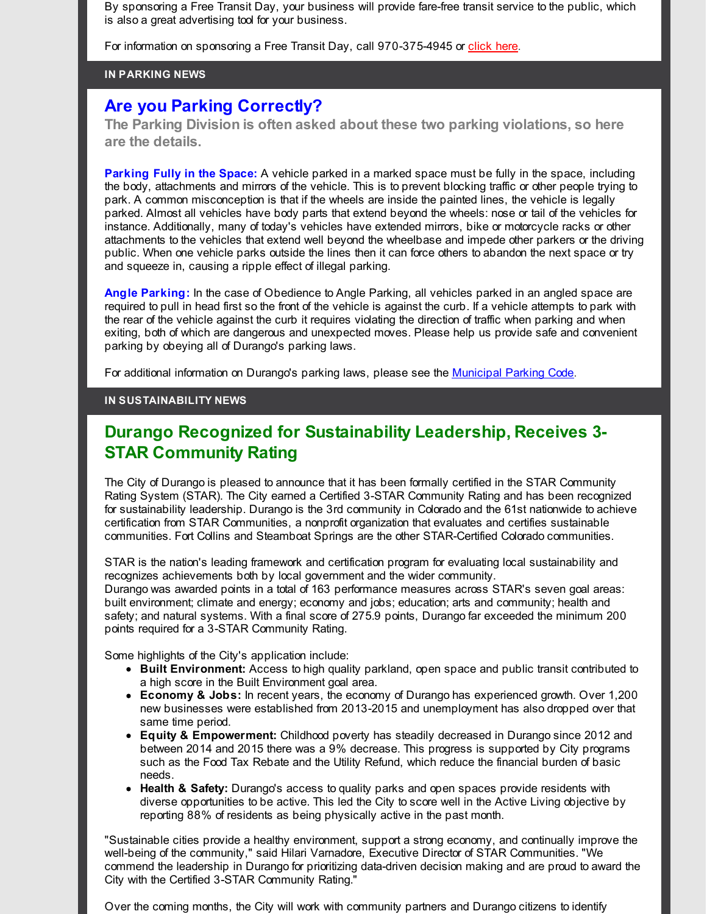By sponsoring a Free Transit Day, your business will provide fare-free transit service to the public, which is also a great advertising tool for your business.

For information on sponsoring a Free Transit Day, call 970-375-4945 or [click](http://r20.rs6.net/tn.jsp?f=00188PoFOvojaciMsR7aFhzSzAkGTKvLCehvDa36zl6md9DAAeLQAShKmkkRmOvYfeuG-Ei8QAk8Fdy_HGzkufqY7jP2oZrB58_66DcW-9nYboxWLdXWZnd_EciDNsLHP2cDf0aY4iKKag_zhPLOa3K1PTqz8f__5B3AyLsxhqVJV_-fCV_reXk4SexVahEyhksuLiypDpK3WJxWrWiuMTAPg==&c=&ch=) here.

#### **IN PARKING NEWS**

## **Are you Parking Correctly?**

**The Parking Division is often asked about these two parking violations, so here are the details.**

**Parking Fully in the Space:** A vehicle parked in a marked space must be fully in the space, including the body, attachments and mirrors of the vehicle. This is to prevent blocking traffic or other people trying to park. A common misconception is that if the wheels are inside the painted lines, the vehicle is legally parked. Almost all vehicles have body parts that extend beyond the wheels: nose or tail of the vehicles for instance. Additionally, many of today's vehicles have extended mirrors, bike or motorcycle racks or other attachments to the vehicles that extend well beyond the wheelbase and impede other parkers or the driving public. When one vehicle parks outside the lines then it can force others to abandon the next space or try and squeeze in, causing a ripple effect of illegal parking.

**Angle Parking:** In the case of Obedience to Angle Parking, all vehicles parked in an angled space are required to pull in head first so the front of the vehicle is against the curb. If a vehicle attempts to park with the rear of the vehicle against the curb it requires violating the direction of traffic when parking and when exiting, both of which are dangerous and unexpected moves. Please help us provide safe and convenient parking by obeying all of Durango's parking laws.

For additional information on Durango's parking laws, please see the [Municipal](http://r20.rs6.net/tn.jsp?f=00188PoFOvojaciMsR7aFhzSzAkGTKvLCehvDa36zl6md9DAAeLQAShKhYQGSIky1iy71AM2lGzhmzNwdGRVSKVekcCDtlVyJgFKontBMO-T3ecE27gqsT0jsJ9Cw7DM_-43OcoFMQnUfTuKPmHH_HPfeNSoZBDOFb4ZmZ23Uo6X9xjgUZ49MhKvZVaIgmt8YavLszn-iXWiEH01pMda99DIz71sE-J6Vk0X9oPoAj70GOjyAaFO8LxThtzacDf7ZdieL3XsXTiYPLAggW6qqOE3qmETg0oZIEz&c=&ch=) Parking Code.

#### **IN SUSTAINABILITY NEWS**

# **Durango Recognized for Sustainability Leadership, Receives 3- STAR Community Rating**

The City of Durango is pleased to announce that it has been formally certified in the STAR Community Rating System (STAR). The City earned a Certified 3-STAR Community Rating and has been recognized for sustainability leadership. Durango is the 3rd community in Colorado and the 61st nationwide to achieve certification from STAR Communities, a nonprofit organization that evaluates and certifies sustainable communities. Fort Collins and Steamboat Springs are the other STAR-Certified Colorado communities.

STAR is the nation's leading framework and certification program for evaluating local sustainability and recognizes achievements both by local government and the wider community.

Durango was awarded points in a total of 163 performance measures across STAR's seven goal areas: built environment; climate and energy; economy and jobs; education; arts and community; health and safety; and natural systems. With a final score of 275.9 points, Durango far exceeded the minimum 200 points required for a 3-STAR Community Rating.

Some highlights of the City's application include:

- **Built Environment:** Access to high quality parkland, open space and public transit contributed to a high score in the Built Environment goal area.
- **Economy & Jobs:** In recent years, the economy of Durango has experienced growth. Over 1,200 new businesses were established from 2013-2015 and unemployment has also dropped over that same time period.
- **Equity & Empowerment:** Childhood poverty has steadily decreased in Durango since 2012 and between 2014 and 2015 there was a 9% decrease. This progress is supported by City programs such as the Food Tax Rebate and the Utility Refund, which reduce the financial burden of basic needs.
- **Health & Safety:** Durango's access to quality parks and open spaces provide residents with diverse opportunities to be active. This led the City to score well in the Active Living objective by reporting 88% of residents as being physically active in the past month.

"Sustainable cities provide a healthy environment, support a strong economy, and continually improve the well-being of the community," said Hilari Varnadore, Executive Director of STAR Communities. "We commend the leadership in Durango for prioritizing data-driven decision making and are proud to award the City with the Certified 3-STAR Community Rating."

Over the coming months, the City will work with community partners and Durango citizens to identify